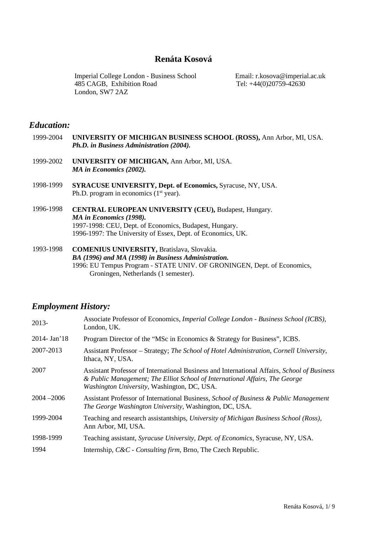# **Renáta Kosová**

Imperial College London - Business School 485 CAGB, Exhibition Road London, SW7 2AZ

Email: r.kosova@imperial.ac.uk Tel: +44(0)20759-42630

## *Education:*

- 1999-2004 **UNIVERSITY OF MICHIGAN BUSINESS SCHOOL (ROSS),** Ann Arbor, MI, USA. *Ph.D. in Business Administration (2004).*
- 1999-2002 **UNIVERSITY OF MICHIGAN,** Ann Arbor, MI, USA. *MA in Economics (2002).*
- 1998-1999 **SYRACUSE UNIVERSITY, Dept. of Economics,** Syracuse, NY, USA. Ph.D. program in economics  $(1<sup>st</sup>$  year).
- 1996-1998 **CENTRAL EUROPEAN UNIVERSITY (CEU),** Budapest, Hungary. *MA in Economics (1998).* 1997-1998: CEU, Dept. of Economics, Budapest, Hungary. 1996-1997: The University of Essex, Dept. of Economics, UK.
- 1993-1998 **COMENIUS UNIVERSITY,** Bratislava, Slovakia. *BA (1996) and MA (1998) in Business Administration.* 1996: EU Tempus Program - STATE UNIV. OF GRONINGEN, Dept. of Economics, Groningen, Netherlands (1 semester).

# *Employment History:*

| 2013-         | Associate Professor of Economics, <i>Imperial College London - Business School (ICBS)</i> ,<br>London, UK.                                                                                                                |
|---------------|---------------------------------------------------------------------------------------------------------------------------------------------------------------------------------------------------------------------------|
| 2014- Jan'18  | Program Director of the "MSc in Economics & Strategy for Business", ICBS.                                                                                                                                                 |
| 2007-2013     | Assistant Professor – Strategy; The School of Hotel Administration, Cornell University,<br>Ithaca, NY, USA.                                                                                                               |
| 2007          | Assistant Professor of International Business and International Affairs, School of Business<br>& Public Management; The Elliot School of International Affairs, The George<br>Washington University, Washington, DC, USA. |
| $2004 - 2006$ | Assistant Professor of International Business, School of Business & Public Management<br>The George Washington University, Washington, DC, USA.                                                                           |
| 1999-2004     | Teaching and research assistantships, University of Michigan Business School (Ross),<br>Ann Arbor, MI, USA.                                                                                                               |
| 1998-1999     | Teaching assistant, Syracuse University, Dept. of Economics, Syracuse, NY, USA.                                                                                                                                           |
| 1994          | Internship, C&C - Consulting firm, Brno, The Czech Republic.                                                                                                                                                              |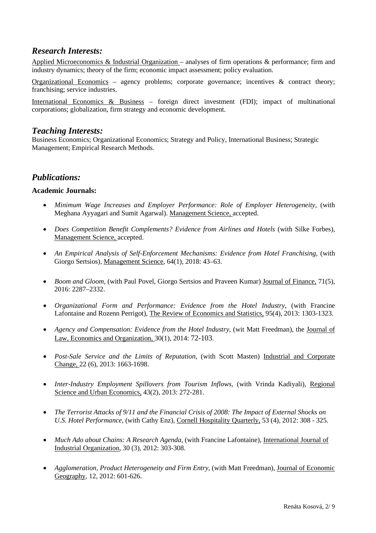# *Research Interests:*

Applied Microeconomics & Industrial Organization – analyses of firm operations & performance; firm and industry dynamics; theory of the firm; economic impact assessment; policy evaluation.

Organizational Economics – agency problems; corporate governance; incentives & contract theory; franchising; service industries.

International Economics & Business – foreign direct investment (FDI); impact of multinational corporations; globalization, firm strategy and economic development.

# *Teaching Interests:*

Business Economics; Organizational Economics; Strategy and Policy, International Business; Strategic Management; Empirical Research Methods.

# *Publications:*

## **Academic Journals:**

- *Minimum Wage Increases and Employer Performance: Role of Employer Heterogeneity,* (with Meghana Ayyagari and Sumit Agarwal). Management Science, accepted.
- *Does Competition Benefit Complements? Evidence from Airlines and Hotels* (with Silke Forbes), Management Science, accepted.
- An Empirical Analysis of Self-Enforcement Mechanisms: Evidence from Hotel Franchising, (with Giorgo Sertsios), Management Science, 64(1), 2018: 43–63.
- *Boom and Gloom, (with Paul Povel, Giorgo Sertsios and Praveen Kumar) Journal of Finance, 71(5),* 2016: 2287–2332.
- *Organizational Form and Performance: Evidence from the Hotel Industry*, (with Francine Lafontaine and Rozenn Perrigot), The Review of Economics and Statistics, 95(4), 2013: 1303-1323.
- *Agency and Compensation: Evidence from the Hotel Industry*, (wit Matt Freedman), the Journal of Law, Economics and Organization, 30(1), 2014: 72-103.
- *Post-Sale Service and the Limits of Reputation*, (with Scott Masten) Industrial and Corporate Change, 22 (6), 2013: 1663-1698.
- *Inter-Industry Employment Spillovers from Tourism Inflows,* (with Vrinda Kadiyali), Regional Science and Urban Economics, 43(2), 2013: 272-281.
- *The Terrorist Attacks of 9/11 and the Financial Crisis of 2008: The Impact of External Shocks on U.S. Hotel Performance,* (with Cathy Enz), Cornell Hospitality Quarterly, 53 (4), 2012: 308 - 325.
- *Much Ado about Chains: A Research Agenda*, (with Francine Lafontaine), International Journal of Industrial Organization, 30 (3), 2012: 303-308.
- *Agglomeration, Product Heterogeneity and Firm Entry,* (with Matt Freedman), Journal of Economic Geography, 12, 2012: 601-626.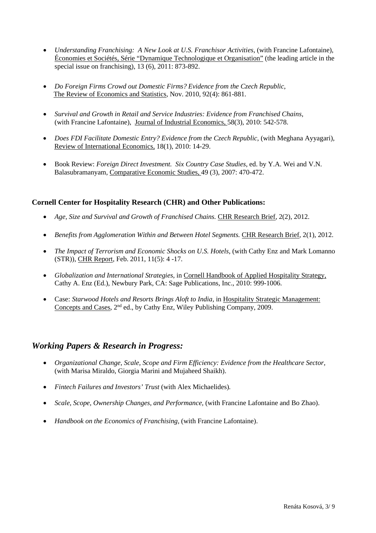- *Understanding Franchising: A New Look at U.S. Franchisor Activities*, (with Francine Lafontaine), Économies et Sociétés, Série "Dynamique Technologique et Organisation" (the leading article in the special issue on franchising), 13 (6), 2011: 873-892.
- *Do Foreign Firms Crowd out Domestic Firms? Evidence from the Czech Republic*, The Review of Economics and Statistics, Nov. 2010, 92(4): 861-881.
- *Survival and Growth in Retail and Service Industries: Evidence from Franchised Chains,* (with Francine Lafontaine), Journal of Industrial Economics, 58(3), 2010: 542-578.
- *Does FDI Facilitate Domestic Entry? Evidence from the Czech Republic*, (with Meghana Ayyagari), Review of International Economics, 18(1), 2010: 14-29.
- Book Review: *Foreign Direct Investment. Six Country Case Studies*, ed. by Y.A. Wei and V.N. Balasubramanyam, Comparative Economic Studies, 49 (3), 2007: 470-472.

## **Cornell Center for Hospitality Research (CHR) and Other Publications:**

- Age, Size and Survival and Growth of Franchised Chains. CHR Research Brief, 2(2), 2012.
- *Benefits from Agglomeration Within and Between Hotel Segments.* CHR Research Brief*,* 2(1), 2012.
- *The Impact of Terrorism and Economic Shocks on U.S. Hotels*, (with Cathy Enz and Mark Lomanno (STR)), CHR Report, Feb. 2011, 11(5): 4 -17.
- *Globalization and International Strategies,* in Cornell Handbook of Applied Hospitality Strategy, Cathy A. Enz (Ed.), Newbury Park, CA: Sage Publications, Inc., 2010: 999-1006.
- Case: *Starwood Hotels and Resorts Brings Aloft to India,* in Hospitality Strategic Management: Concepts and Cases, 2nd ed., by Cathy Enz, Wiley Publishing Company, 2009.

# *Working Papers & Research in Progress:*

- *Organizational Change, Scale, Scope and Firm Efficiency: Evidence from the Healthcare Sector,* (with Marisa Miraldo, Giorgia Marini and Mujaheed Shaikh).
- *Fintech Failures and Investors' Trust* (with Alex Michaelides)*.*
- *Scale, Scope, Ownership Changes, and Performance,* (with Francine Lafontaine and Bo Zhao).
- *Handbook on the Economics of Franchising,* (with Francine Lafontaine).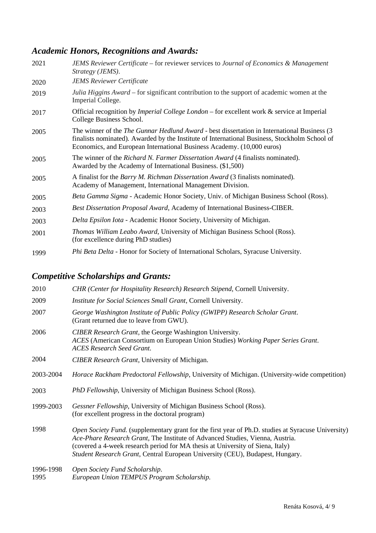# *Academic Honors, Recognitions and Awards:*

| 2021 | <b>JEMS Reviewer Certificate – for reviewer services to Journal of Economics &amp; Management</b><br>Strategy (JEMS).                                                                                                                                                          |
|------|--------------------------------------------------------------------------------------------------------------------------------------------------------------------------------------------------------------------------------------------------------------------------------|
| 2020 | <b>JEMS Reviewer Certificate</b>                                                                                                                                                                                                                                               |
| 2019 | Julia Higgins Award – for significant contribution to the support of academic women at the<br>Imperial College.                                                                                                                                                                |
| 2017 | Official recognition by <i>Imperial College London</i> – for excellent work $\&$ service at Imperial<br>College Business School.                                                                                                                                               |
| 2005 | The winner of the <i>The Gunnar Hedlund Award</i> - best dissertation in International Business (3)<br>finalists nominated). Awarded by the Institute of International Business, Stockholm School of<br>Economics, and European International Business Academy. (10,000 euros) |
| 2005 | The winner of the Richard N. Farmer Dissertation Award (4 finalists nominated).<br>Awarded by the Academy of International Business. (\$1,500)                                                                                                                                 |
| 2005 | A finalist for the <i>Barry M. Richman Dissertation Award</i> (3 finalists nominated).<br>Academy of Management, International Management Division.                                                                                                                            |
| 2005 | Beta Gamma Sigma - Academic Honor Society, Univ. of Michigan Business School (Ross).                                                                                                                                                                                           |
| 2003 | <b>Best Dissertation Proposal Award, Academy of International Business-CIBER.</b>                                                                                                                                                                                              |
| 2003 | Delta Epsilon Iota - Academic Honor Society, University of Michigan.                                                                                                                                                                                                           |
| 2001 | Thomas William Leabo Award, University of Michigan Business School (Ross).<br>(for excellence during PhD studies)                                                                                                                                                              |
| 1999 | Phi Beta Delta - Honor for Society of International Scholars, Syracuse University.                                                                                                                                                                                             |

# *Competitive Scholarships and Grants:*

| 2010              | CHR (Center for Hospitality Research) Research Stipend, Cornell University.                                                                                                                                                                                                                                                                                    |
|-------------------|----------------------------------------------------------------------------------------------------------------------------------------------------------------------------------------------------------------------------------------------------------------------------------------------------------------------------------------------------------------|
| 2009              | Institute for Social Sciences Small Grant, Cornell University.                                                                                                                                                                                                                                                                                                 |
| 2007              | George Washington Institute of Public Policy (GWIPP) Research Scholar Grant.<br>(Grant returned due to leave from GWU).                                                                                                                                                                                                                                        |
| 2006              | <b>CIBER Research Grant, the George Washington University.</b><br>ACES (American Consortium on European Union Studies) Working Paper Series Grant.<br><b>ACES Research Seed Grant.</b>                                                                                                                                                                         |
| 2004              | <b>CIBER Research Grant, University of Michigan.</b>                                                                                                                                                                                                                                                                                                           |
| 2003-2004         | <i>Horace Rackham Predoctoral Fellowship</i> , University of Michigan. (University-wide competition)                                                                                                                                                                                                                                                           |
| 2003              | <i>PhD Fellowship</i> , University of Michigan Business School (Ross).                                                                                                                                                                                                                                                                                         |
| 1999-2003         | Gessner Fellowship, University of Michigan Business School (Ross).<br>(for excellent progress in the doctoral program)                                                                                                                                                                                                                                         |
| 1998              | <i>Open Society Fund.</i> (supplementary grant for the first year of Ph.D. studies at Syracuse University)<br>Ace-Phare Research Grant, The Institute of Advanced Studies, Vienna, Austria.<br>(covered a 4-week research period for MA thesis at University of Siena, Italy)<br>Student Research Grant, Central European University (CEU), Budapest, Hungary. |
| 1996-1998<br>1995 | Open Society Fund Scholarship.<br>European Union TEMPUS Program Scholarship.                                                                                                                                                                                                                                                                                   |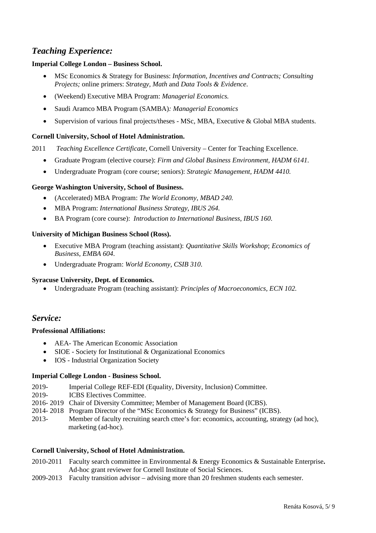# *Teaching Experience:*

## **Imperial College London – Business School.**

- MSc Economics & Strategy for Business: *Information, Incentives and Contracts; Consulting Projects;* online primers: *Strategy, Math* and *Data Tools & Evidence*.
- (Weekend) Executive MBA Program: *Managerial Economics.*
- Saudi Aramco MBA Program (SAMBA)*: Managerial Economics*
- Supervision of various final projects/theses MSc, MBA, Executive & Global MBA students.

## **Cornell University, School of Hotel Administration.**

2011 *Teaching Excellence Certificate*, Cornell University – Center for Teaching Excellence.

- Graduate Program (elective course): *Firm and Global Business Environment, HADM 6141.*
- Undergraduate Program (core course; seniors): *Strategic Management, HADM 4410.*

## **George Washington University, School of Business.**

- (Accelerated) MBA Program: *The World Economy, MBAD 240.*
- MBA Program: *International Business Strategy, IBUS 264.*
- BA Program (core course): *Introduction to International Business*, *IBUS 160.*

### **University of Michigan Business School (Ross).**

- Executive MBA Program (teaching assistant): *Quantitative Skills Workshop*; *Economics of Business, EMBA 604*.
- Undergraduate Program: *World Economy, CSIB 310*.

### **Syracuse University, Dept. of Economics.**

• Undergraduate Program (teaching assistant): *Principles of Macroeconomics, ECN 102.* 

# *Service:*

### **Professional Affiliations:**

- AEA- The American Economic Association
- SIOE Society for Institutional & Organizational Economics
- IOS Industrial Organization Society

### **Imperial College London - Business School.**

- 2019- Imperial College REF-EDI (Equality, Diversity, Inclusion) Committee.
- 2019- ICBS Electives Committee.
- 2016- 2019 Chair of Diversity Committee; Member of Management Board (ICBS).
- 2014- 2018 Program Director of the "MSc Economics & Strategy for Business" (ICBS).
- 2013- Member of faculty recruiting search cttee's for: economics, accounting, strategy (ad hoc), marketing (ad-hoc).

### **Cornell University, School of Hotel Administration.**

- 2010-2011 Faculty search committee in Environmental & Energy Economics & Sustainable Enterprise**.** Ad-hoc grant reviewer for Cornell Institute of Social Sciences.
- 2009-2013 Faculty transition advisor advising more than 20 freshmen students each semester.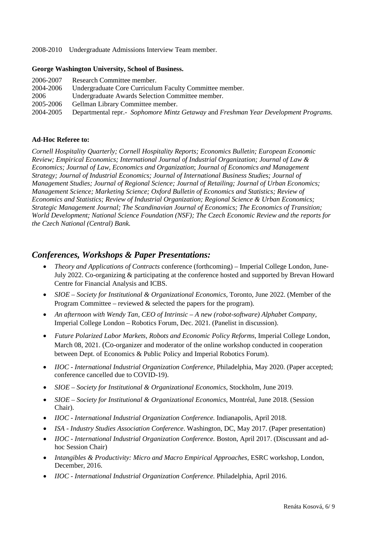2008-2010 Undergraduate Admissions Interview Team member.

#### **George Washington University, School of Business.**

| Research Committee member.                                                          |
|-------------------------------------------------------------------------------------|
| Undergraduate Core Curriculum Faculty Committee member.                             |
| Undergraduate Awards Selection Committee member.                                    |
| Gellman Library Committee member.                                                   |
| Departmental repr.- Sophomore Mintz Getaway and Freshman Year Development Programs. |
|                                                                                     |

### **Ad-Hoc Referee to:**

*Cornell Hospitality Quarterly; Cornell Hospitality Reports; Economics Bulletin; European Economic Review; Empirical Economics; International Journal of Industrial Organization; Journal of Law & Economics; Journal of Law, Economics and Organization*; *Journal of Economics and Management Strategy; Journal of Industrial Economics; Journal of International Business Studies; Journal of Management Studies; Journal of Regional Science; Journal of Retailing; Journal of Urban Economics; Management Science; Marketing Science; Oxford Bulletin of Economics and Statistics; Review of Economics and Statistics; Review of Industrial Organization; Regional Science & Urban Economics; Strategic Management Journal; The Scandinavian Journal of Economics; The Economics of Transition; World Development; National Science Foundation (NSF); The Czech Economic Review and the reports for the Czech National (Central) Bank.*

## *Conferences, Workshops & Paper Presentations:*

- *Theory and Applications of Contracts* conference (forthcoming) Imperial College London, June-July 2022. Co-organizing & participating at the conference hosted and supported by Brevan Howard Centre for Financial Analysis and ICBS.
- *SIOE – Society for Institutional & Organizational Economics*, Toronto, June 2022. (Member of the Program Committee – reviewed  $\&$  selected the papers for the program).
- *An afternoon with Wendy Tan, CEO of Intrinsic A new (robot-software) Alphabet Company,*  Imperial College London – Robotics Forum, Dec. 2021. (Panelist in discussion).
- *Future Polarized Labor Markets, Robots and Economic Policy Reforms,* Imperial College London, March 08, 2021. (Co-organizer and moderator of the online workshop conducted in cooperation between Dept. of Economics & Public Policy and Imperial Robotics Forum).
- *IIOC - International Industrial Organization Conference,* Philadelphia, May 2020. (Paper accepted; conference cancelled due to COVID-19).
- *SIOE – Society for Institutional & Organizational Economics*, Stockholm, June 2019.
- *SIOE – Society for Institutional & Organizational Economics*, Montréal, June 2018. (Session Chair).
- *IIOC - International Industrial Organization Conference.* Indianapolis, April 2018.
- *ISA - Industry Studies Association Conference*. Washington, DC, May 2017. (Paper presentation)
- *IIOC - International Industrial Organization Conference.* Boston, April 2017. (Discussant and adhoc Session Chair)
- *Intangibles & Productivity: Micro and Macro Empirical Approaches,* ESRC workshop, London, December, 2016.
- *IIOC - International Industrial Organization Conference.* Philadelphia, April 2016.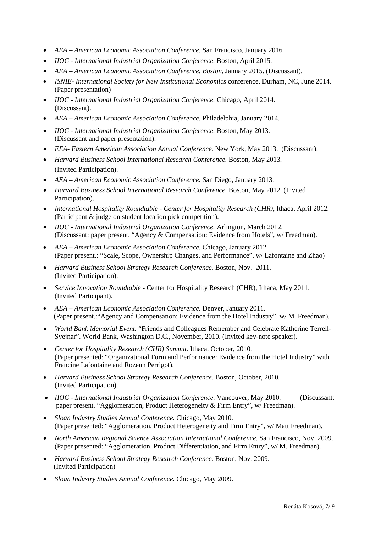- *AEA – American Economic Association Conference.* San Francisco, January 2016.
- *IIOC - International Industrial Organization Conference.* Boston, April 2015.
- *AEA – American Economic Association Conference. Boston*, January 2015. (Discussant).
- *ISNIE- International Society for New Institutional Economics* conference, Durham, NC, June 2014. (Paper presentation)
- *IIOC - International Industrial Organization Conference.* Chicago, April 2014. (Discussant).
- *AEA – American Economic Association Conference.* Philadelphia, January 2014.
- *IIOC - International Industrial Organization Conference.* Boston, May 2013. (Discussant and paper presentation).
- *EEA- Eastern American Association Annual Conference.* New York, May 2013.(Discussant).
- *Harvard Business School International Research Conference.* Boston, May 2013*.*  (Invited Participation).
- *AEA – American Economic Association Conference.* San Diego, January 2013.
- *Harvard Business School International Research Conference.* Boston, May 2012*.* (Invited Participation).
- *International Hospitality Roundtable - Center for Hospitality Research (CHR),* Ithaca, April 2012. (Participant & judge on student location pick competition).
- *IIOC - International Industrial Organization Conference.* Arlington, March 2012. (Discussant; paper present. "Agency & Compensation: Evidence from Hotels", w/ Freedman).
- *AEA – American Economic Association Conference.* Chicago, January 2012. (Paper present.: "Scale, Scope, Ownership Changes, and Performance", w/ Lafontaine and Zhao)
- *Harvard Business School Strategy Research Conference.* Boston, Nov. 2011*.*  (Invited Participation).
- *Service Innovation Roundtable* Center for Hospitality Research (CHR), Ithaca, May 2011. (Invited Participant).
- *AEA – American Economic Association Conference.* Denver, January 2011. (Paper present.:"Agency and Compensation: Evidence from the Hotel Industry", w/ M. Freedman).
- *World Bank Memorial Event.* "Friends and Colleagues Remember and Celebrate Katherine Terrell-Svejnar". World Bank, Washington D.C., November, 2010. (Invited key-note speaker).
- *Center for Hospitality Research (CHR) Summit.* Ithaca, October, 2010. (Paper presented: "Organizational Form and Performance: Evidence from the Hotel Industry" with Francine Lafontaine and Rozenn Perrigot).
- *Harvard Business School Strategy Research Conference.* Boston, October, 2010*.*  (Invited Participation).
- *IIOC - International Industrial Organization Conference.* Vancouver, May 2010. (Discussant; paper present. "Agglomeration, Product Heterogeneity & Firm Entry", w/ Freedman).
- *Sloan Industry Studies Annual Conference.* Chicago, May 2010. (Paper presented: "Agglomeration, Product Heterogeneity and Firm Entry", w/ Matt Freedman).
- *North American Regional Science Association International Conference.* San Francisco, Nov. 2009. (Paper presented: "Agglomeration, Product Differentiation, and Firm Entry", w/ M. Freedman).
- *Harvard Business School Strategy Research Conference.* Boston, Nov. 2009. (Invited Participation)
- *Sloan Industry Studies Annual Conference.* Chicago, May 2009.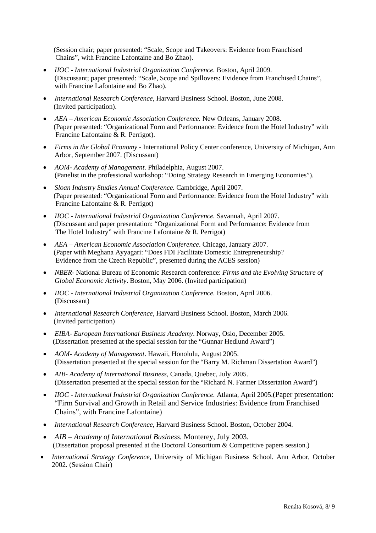(Session chair; paper presented: "Scale, Scope and Takeovers: Evidence from Franchised Chains", with Francine Lafontaine and Bo Zhao).

- *IIOC - International Industrial Organization Conference.* Boston, April 2009. (Discussant; paper presented: "Scale, Scope and Spillovers: Evidence from Franchised Chains", with Francine Lafontaine and Bo Zhao).
- *International Research Conference,* Harvard Business School. Boston, June 2008. (Invited participation).
- *AEA – American Economic Association Conference.* New Orleans, January 2008. (Paper presented: "Organizational Form and Performance: Evidence from the Hotel Industry" with Francine Lafontaine & R. Perrigot).
- *Firms in the Global Economy*  International Policy Center conference, University of Michigan, Ann Arbor, September 2007. (Discussant)
- *AOM- Academy of Management*. Philadelphia, August 2007. (Panelist in the professional workshop: "Doing Strategy Research in Emerging Economies").
- *Sloan Industry Studies Annual Conference.* Cambridge, April 2007. (Paper presented: "Organizational Form and Performance: Evidence from the Hotel Industry" with Francine Lafontaine & R. Perrigot)
- *IIOC - International Industrial Organization Conference.* Savannah, April 2007. (Discussant and paper presentation: "Organizational Form and Performance: Evidence from The Hotel Industry" with Francine Lafontaine & R. Perrigot)
- *AEA – American Economic Association Conference*. Chicago, January 2007. (Paper with Meghana Ayyagari: "Does FDI Facilitate Domestic Entrepreneurship? Evidence from the Czech Republic", presented during the ACES session)
- *NBER* National Bureau of Economic Research conference: *Firms and the Evolving Structure of Global Economic Activity*. Boston, May 2006. (Invited participation)
- *IIOC - International Industrial Organization Conference.* Boston, April 2006. (Discussant)
- *International Research Conference,* Harvard Business School. Boston, March 2006. (Invited participation)
- *EIBA- European International Business Academy*. Norway, Oslo, December 2005. (Dissertation presented at the special session for the "Gunnar Hedlund Award")
- *AOM- Academy of Management*. Hawaii, Honolulu, August 2005. (Dissertation presented at the special session for the "Barry M. Richman Dissertation Award")
- *AIB- Academy of International Business*, Canada, Quebec, July 2005. (Dissertation presented at the special session for the "Richard N. Farmer Dissertation Award")
- *IIOC - International Industrial Organization Conference.* Atlanta, April 2005.(Paper presentation: "Firm Survival and Growth in Retail and Service Industries: Evidence from Franchised Chains", with Francine Lafontaine)
- *International Research Conference,* Harvard Business School. Boston, October 2004.
- *AIB – Academy of International Business.* Monterey, July 2003. (Dissertation proposal presented at the Doctoral Consortium & Competitive papers session.)
- *International Strategy Conference,* University of Michigan Business School. Ann Arbor, October 2002. (Session Chair)